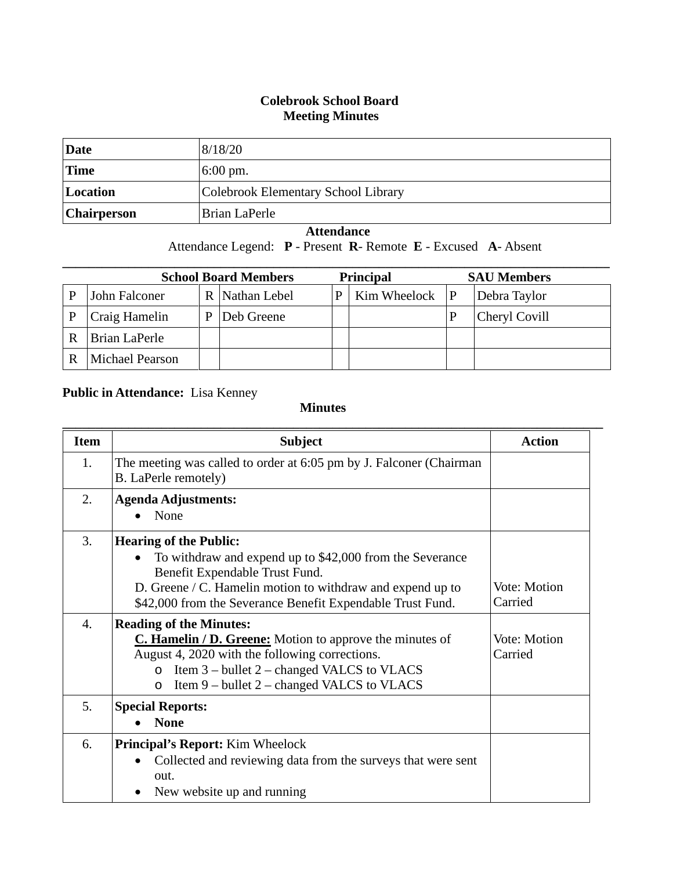## **Colebrook School Board Meeting Minutes**

| Date               | 8/18/20                             |
|--------------------|-------------------------------------|
| <b>Time</b>        | $6:00 \text{ pm}$ .                 |
| Location           | Colebrook Elementary School Library |
| <b>Chairperson</b> | Brian LaPerle                       |

## **Attendance**

Attendance Legend: **P** - Present **R**- Remote **E** - Excused **A**- Absent

| <b>School Board Members</b> |                 |   |                | <b>Principal</b> |              |   | <b>SAU Members</b> |
|-----------------------------|-----------------|---|----------------|------------------|--------------|---|--------------------|
| P                           | John Falconer   |   | R Nathan Lebel |                  | Kim Wheelock | P | Debra Taylor       |
| P                           | Craig Hamelin   | р | Deb Greene     |                  |              |   | Cheryl Covill      |
| R                           | Brian LaPerle   |   |                |                  |              |   |                    |
| R                           | Michael Pearson |   |                |                  |              |   |                    |

## **Public in Attendance:** Lisa Kenney

## **Minutes**

| <b>Item</b>      | <b>Subject</b>                                                                                                                                                                                                                                                         | <b>Action</b>           |
|------------------|------------------------------------------------------------------------------------------------------------------------------------------------------------------------------------------------------------------------------------------------------------------------|-------------------------|
| 1.               | The meeting was called to order at 6:05 pm by J. Falconer (Chairman<br>B. LaPerle remotely)                                                                                                                                                                            |                         |
| 2.               | <b>Agenda Adjustments:</b><br>None                                                                                                                                                                                                                                     |                         |
| 3.               | <b>Hearing of the Public:</b><br>To withdraw and expend up to \$42,000 from the Severance<br>Benefit Expendable Trust Fund.<br>D. Greene / C. Hamelin motion to withdraw and expend up to<br>\$42,000 from the Severance Benefit Expendable Trust Fund.                | Vote: Motion<br>Carried |
| $\overline{4}$ . | <b>Reading of the Minutes:</b><br><b>C. Hamelin / D. Greene:</b> Motion to approve the minutes of<br>August 4, 2020 with the following corrections.<br>Item 3 – bullet 2 – changed VALCS to VLACS<br>$\Omega$<br>Item 9 – bullet 2 – changed VALCS to VLACS<br>$\circ$ | Vote: Motion<br>Carried |
| 5.               | <b>Special Reports:</b><br><b>None</b>                                                                                                                                                                                                                                 |                         |
| 6.               | <b>Principal's Report:</b> Kim Wheelock<br>Collected and reviewing data from the surveys that were sent<br>$\bullet$<br>out.<br>New website up and running                                                                                                             |                         |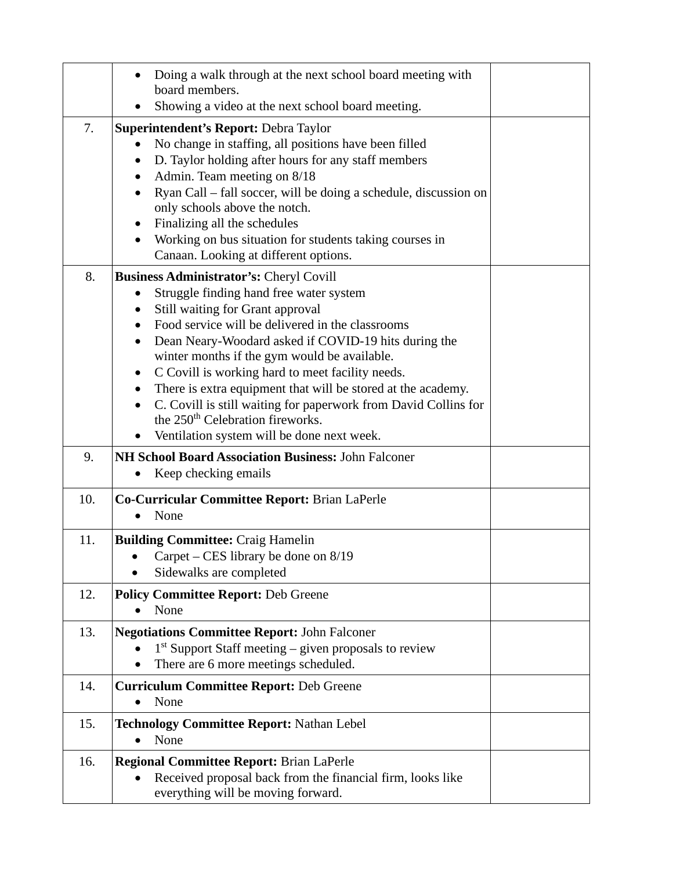|     | Doing a walk through at the next school board meeting with<br>board members.                                                                                                                                                                                                                                                                                                                                                                                                                                                                                                                |  |
|-----|---------------------------------------------------------------------------------------------------------------------------------------------------------------------------------------------------------------------------------------------------------------------------------------------------------------------------------------------------------------------------------------------------------------------------------------------------------------------------------------------------------------------------------------------------------------------------------------------|--|
|     | Showing a video at the next school board meeting.                                                                                                                                                                                                                                                                                                                                                                                                                                                                                                                                           |  |
| 7.  | Superintendent's Report: Debra Taylor<br>No change in staffing, all positions have been filled<br>D. Taylor holding after hours for any staff members<br>٠<br>Admin. Team meeting on 8/18<br>Ryan Call - fall soccer, will be doing a schedule, discussion on<br>only schools above the notch.<br>Finalizing all the schedules                                                                                                                                                                                                                                                              |  |
|     | Working on bus situation for students taking courses in<br>Canaan. Looking at different options.                                                                                                                                                                                                                                                                                                                                                                                                                                                                                            |  |
| 8.  | <b>Business Administrator's: Cheryl Covill</b><br>Struggle finding hand free water system<br>Still waiting for Grant approval<br>Food service will be delivered in the classrooms<br>Dean Neary-Woodard asked if COVID-19 hits during the<br>$\bullet$<br>winter months if the gym would be available.<br>C Covill is working hard to meet facility needs.<br>There is extra equipment that will be stored at the academy.<br>C. Covill is still waiting for paperwork from David Collins for<br>the 250 <sup>th</sup> Celebration fireworks.<br>Ventilation system will be done next week. |  |
| 9.  | NH School Board Association Business: John Falconer<br>Keep checking emails                                                                                                                                                                                                                                                                                                                                                                                                                                                                                                                 |  |
| 10. | Co-Curricular Committee Report: Brian LaPerle<br>None                                                                                                                                                                                                                                                                                                                                                                                                                                                                                                                                       |  |
| 11. | <b>Building Committee: Craig Hamelin</b><br>Carpet – CES library be done on $8/19$<br>Sidewalks are completed                                                                                                                                                                                                                                                                                                                                                                                                                                                                               |  |
| 12. | <b>Policy Committee Report: Deb Greene</b><br>None                                                                                                                                                                                                                                                                                                                                                                                                                                                                                                                                          |  |
| 13. | <b>Negotiations Committee Report: John Falconer</b><br>$1st$ Support Staff meeting – given proposals to review<br>There are 6 more meetings scheduled.<br>$\bullet$                                                                                                                                                                                                                                                                                                                                                                                                                         |  |
| 14. | <b>Curriculum Committee Report: Deb Greene</b><br>None<br>$\bullet$                                                                                                                                                                                                                                                                                                                                                                                                                                                                                                                         |  |
| 15. | <b>Technology Committee Report: Nathan Lebel</b><br>None<br>$\bullet$                                                                                                                                                                                                                                                                                                                                                                                                                                                                                                                       |  |
| 16. | <b>Regional Committee Report: Brian LaPerle</b><br>Received proposal back from the financial firm, looks like<br>everything will be moving forward.                                                                                                                                                                                                                                                                                                                                                                                                                                         |  |